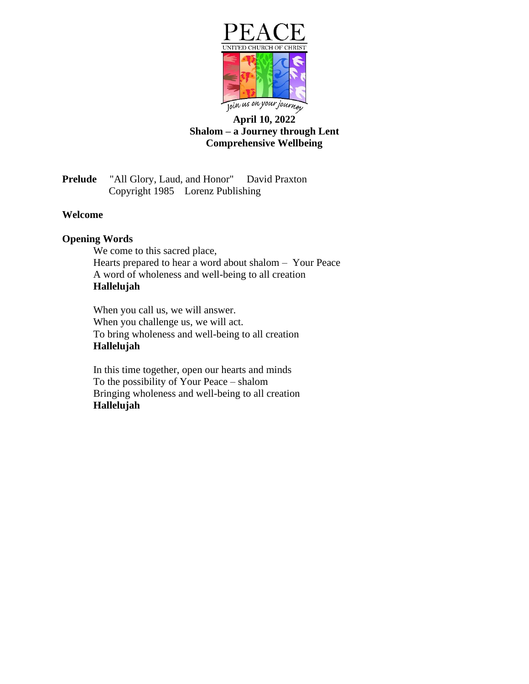

# **April 10, 2022 Shalom – a Journey through Lent Comprehensive Wellbeing**

**Prelude** "All Glory, Laud, and Honor" David Praxton Copyright 1985 Lorenz Publishing

## **Welcome**

#### **Opening Words**

We come to this sacred place, Hearts prepared to hear a word about shalom – Your Peace A word of wholeness and well-being to all creation **Hallelujah**

When you call us, we will answer. When you challenge us, we will act. To bring wholeness and well-being to all creation **Hallelujah**

In this time together, open our hearts and minds To the possibility of Your Peace – shalom Bringing wholeness and well-being to all creation **Hallelujah**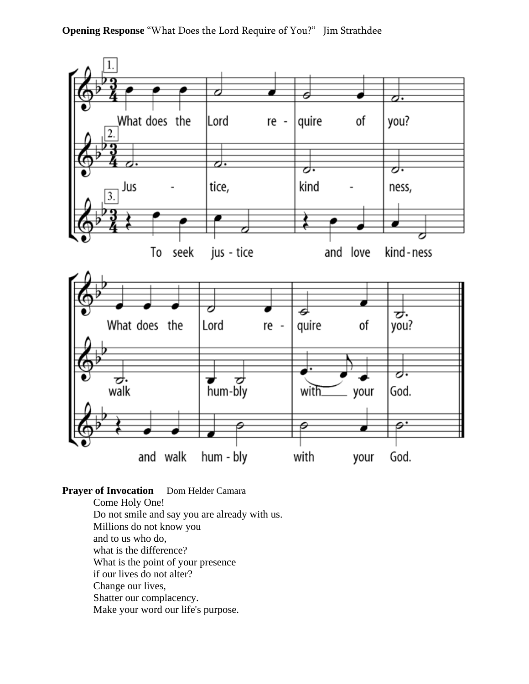**Opening Response** "What Does the Lord Require of You?" Jim Strathdee



**Prayer of Invocation** Dom Helder Camara Come Holy One! Do not smile and say you are already with us. Millions do not know you and to us who do, what is the difference? What is the point of your presence if our lives do not alter? Change our lives, Shatter our complacency. Make your word our life's purpose.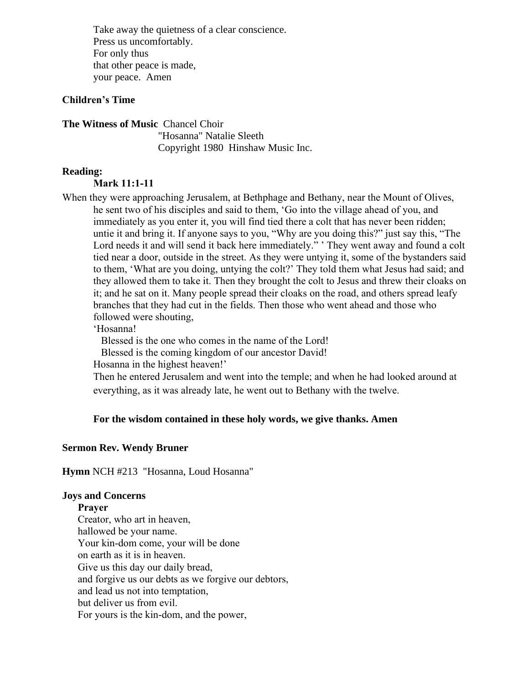Take away the quietness of a clear conscience. Press us uncomfortably. For only thus that other peace is made, your peace. Amen

# **Children's Time**

**The Witness of Music** Chancel Choir

"Hosanna" Natalie Sleeth Copyright 1980 Hinshaw Music Inc.

#### **Reading:**

#### **Mark 11:1-11**

When they were approaching Jerusalem, at Bethphage and Bethany, near the Mount of Olives, he sent two of his disciples and said to them, 'Go into the village ahead of you, and immediately as you enter it, you will find tied there a colt that has never been ridden; untie it and bring it. If anyone says to you, "Why are you doing this?" just say this, "The Lord needs it and will send it back here immediately." ' They went away and found a colt tied near a door, outside in the street. As they were untying it, some of the bystanders said to them, 'What are you doing, untying the colt?' They told them what Jesus had said; and they allowed them to take it. Then they brought the colt to Jesus and threw their cloaks on it; and he sat on it. Many people spread their cloaks on the road, and others spread leafy branches that they had cut in the fields. Then those who went ahead and those who followed were shouting,

## 'Hosanna!

Blessed is the one who comes in the name of the Lord!

Blessed is the coming kingdom of our ancestor David!

Hosanna in the highest heaven!'

Then he entered Jerusalem and went into the temple; and when he had looked around at everything, as it was already late, he went out to Bethany with the twelve.

## **For the wisdom contained in these holy words, we give thanks. Amen**

#### **Sermon Rev. Wendy Bruner**

**Hymn** NCH #213 "Hosanna, Loud Hosanna"

#### **Joys and Concerns**

**Prayer** Creator, who art in heaven, hallowed be your name. Your kin-dom come, your will be done on earth as it is in heaven. Give us this day our daily bread, and forgive us our debts as we forgive our debtors, and lead us not into temptation, but deliver us from evil. For yours is the kin-dom, and the power,